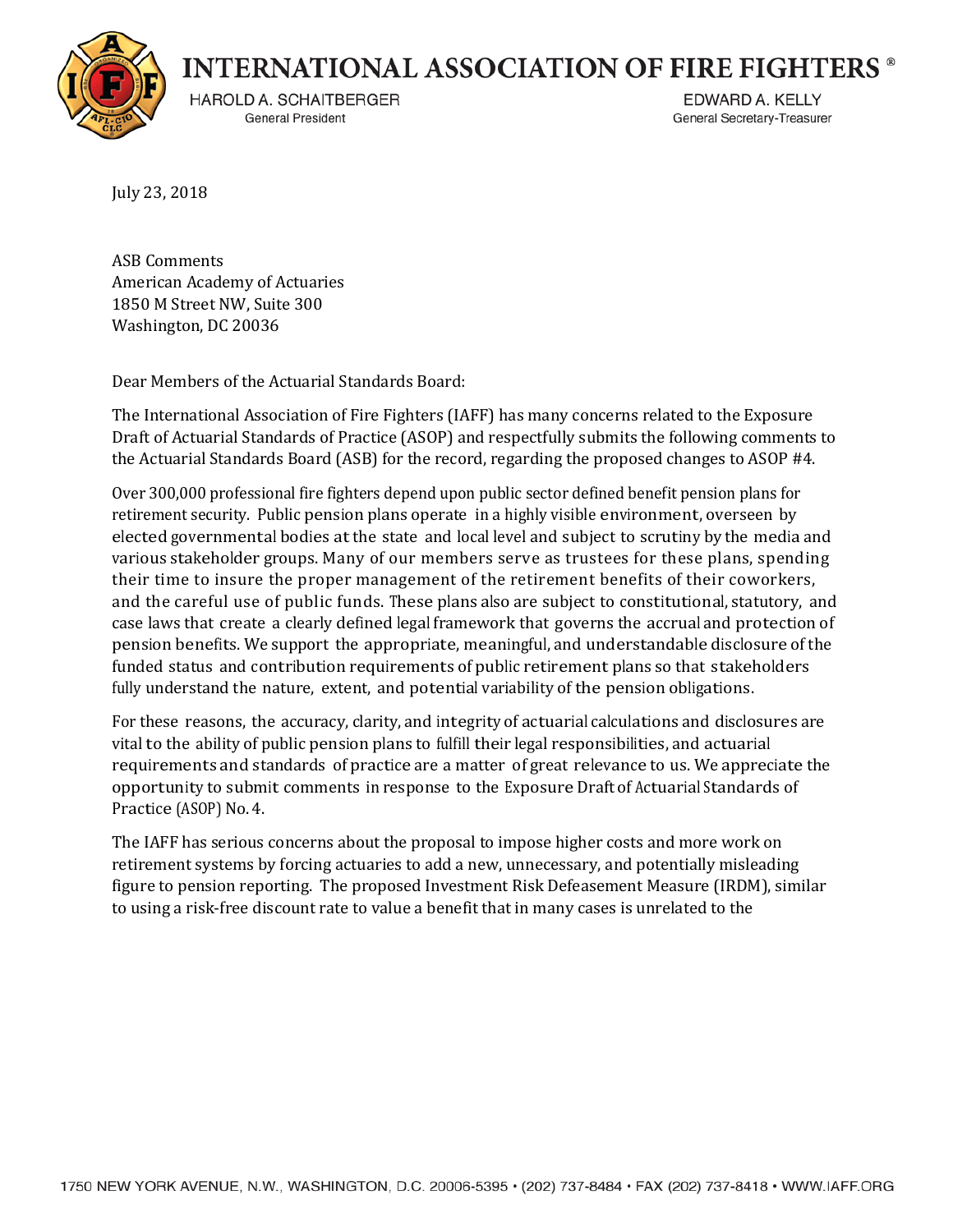

**INTERNATIONAL ASSOCIATION OF FIRE FIGHTERS ®** 

HAROLD A. SCHAITBERGER General President

EDWARD A. KELLY General Secretary-Treasurer

July 23, 2018

ASB Comments American Academy of Actuaries 1850 M Street NW, Suite 300 Washington, DC 20036

Dear Members of the Actuarial Standards Board:

The International Association of Fire Fighters (IAFF) has many concerns related to the Exposure Draft of Actuarial Standards of Practice (ASOP) and respectfully submits the following comments to the Actuarial Standards Board (ASB) for the record, regarding the proposed changes to ASOP #4.

Over 300,000 professional fire fighters depend upon public sector defined benefit pension plans for retirement security. Public pension plans operate in a highly visible environment, overseen by elected governmental bodies atthe state and local level and subject to scrutiny by the media and various stakeholder groups. Many of our members serve as trustees for these plans, spending their time to insure the proper management of the retirement benefits of their coworkers, and the careful use of public funds. These plans also are subject to constitutional, statutory, and case laws that create a clearly defined legal framework that governs the accrual and protection of pension benefits. We support the appropriate, meaningful, and understandable disclosure of the funded status and contribution requirements of public retirement plans so that stakeholders fully understand the nature, extent, and potential variability of the pension obligations.

For these reasons, the accuracy, clarity, and integrity of actuarial calculations and disclosures are vital to the ability of public pension plans to fulfill their legal responsibilities, and actuarial requirements and standards of practice are a matter of great relevance to us. We appreciate the opportunity to submit comments in response to the Exposure Draft of Actuarial Standards of Practice (ASOP) No.4.

The IAFF has serious concerns about the proposal to impose higher costs and more work on retirement systems by forcing actuaries to add a new, unnecessary, and potentially misleading figure to pension reporting. The proposed Investment Risk Defeasement Measure (IRDM), similar to using a risk-free discount rate to value a benefit that in many cases is unrelated to the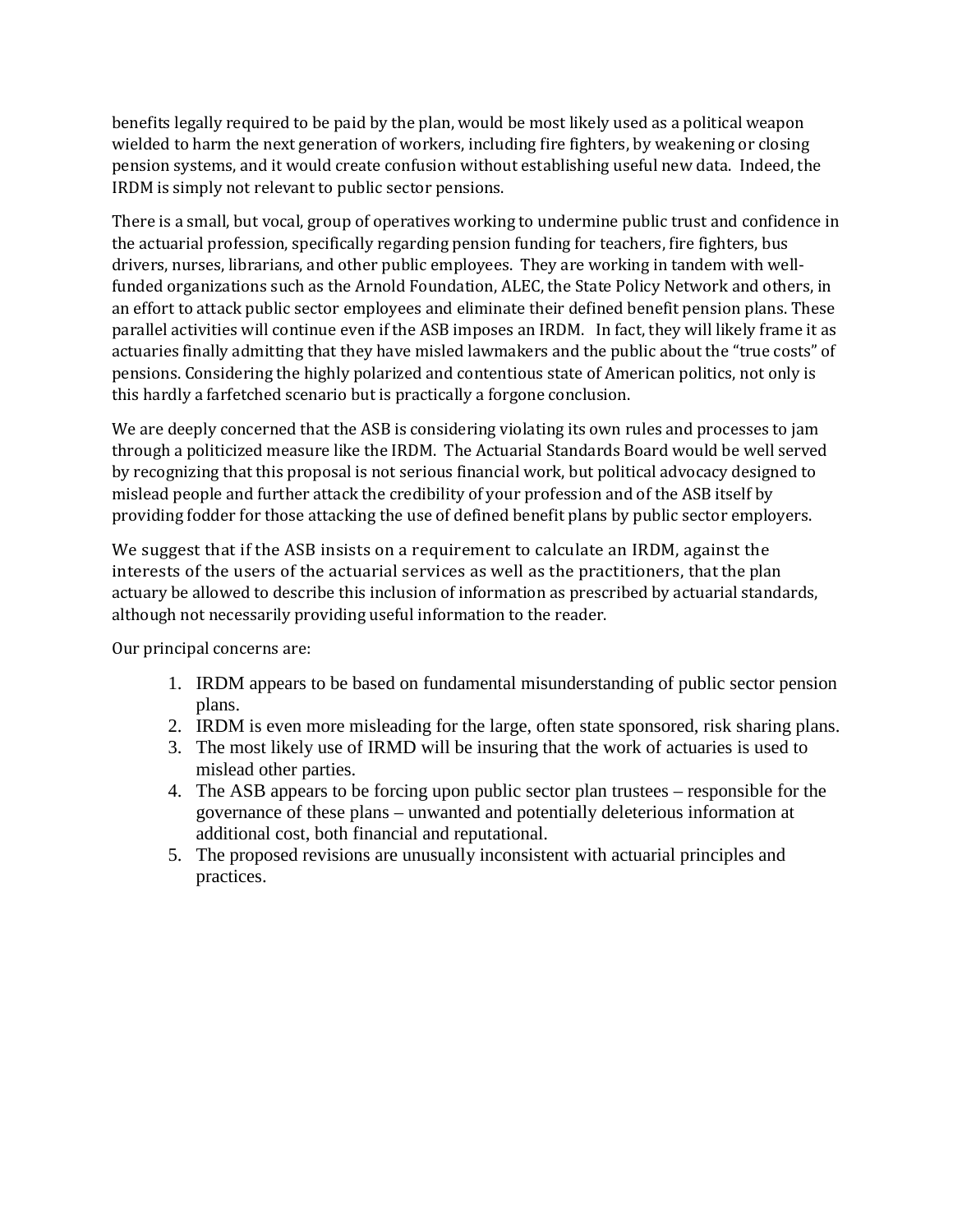benefits legally required to be paid by the plan, would be most likely used as a political weapon wielded to harm the next generation of workers, including fire fighters, by weakening or closing pension systems, and it would create confusion without establishing useful new data. Indeed, the IRDM is simply not relevant to public sector pensions.

There is a small, but vocal, group of operatives working to undermine public trust and confidence in the actuarial profession, specifically regarding pension funding for teachers, fire fighters, bus drivers, nurses, librarians, and other public employees. They are working in tandem with wellfunded organizations such as the Arnold Foundation, ALEC, the State Policy Network and others, in an effort to attack public sector employees and eliminate their defined benefit pension plans. These parallel activities will continue even if the ASB imposes an IRDM. In fact, they will likely frame it as actuaries finally admitting that they have misled lawmakers and the public about the "true costs" of pensions. Considering the highly polarized and contentious state of American politics, not only is this hardly a farfetched scenario but is practically a forgone conclusion.

We are deeply concerned that the ASB is considering violating its own rules and processes to jam through a politicized measure like the IRDM. The Actuarial Standards Board would be well served by recognizing that this proposal is not serious financial work, but political advocacy designed to mislead people and further attack the credibility of your profession and of the ASB itself by providing fodder for those attacking the use of defined benefit plans by public sector employers.

We suggest that if the ASB insists on a requirement to calculate an IRDM, against the interests of the users of the actuarial services as well as the practitioners, that the plan actuary be allowed to describe this inclusion of information as prescribed by actuarial standards, although not necessarily providing useful information to the reader.

Our principal concerns are:

- 1. IRDM appears to be based on fundamental misunderstanding of public sector pension plans.
- 2. IRDM is even more misleading for the large, often state sponsored, risk sharing plans.
- 3. The most likely use of IRMD will be insuring that the work of actuaries is used to mislead other parties.
- 4. The ASB appears to be forcing upon public sector plan trustees responsible for the governance of these plans – unwanted and potentially deleterious information at additional cost, both financial and reputational.
- 5. The proposed revisions are unusually inconsistent with actuarial principles and practices.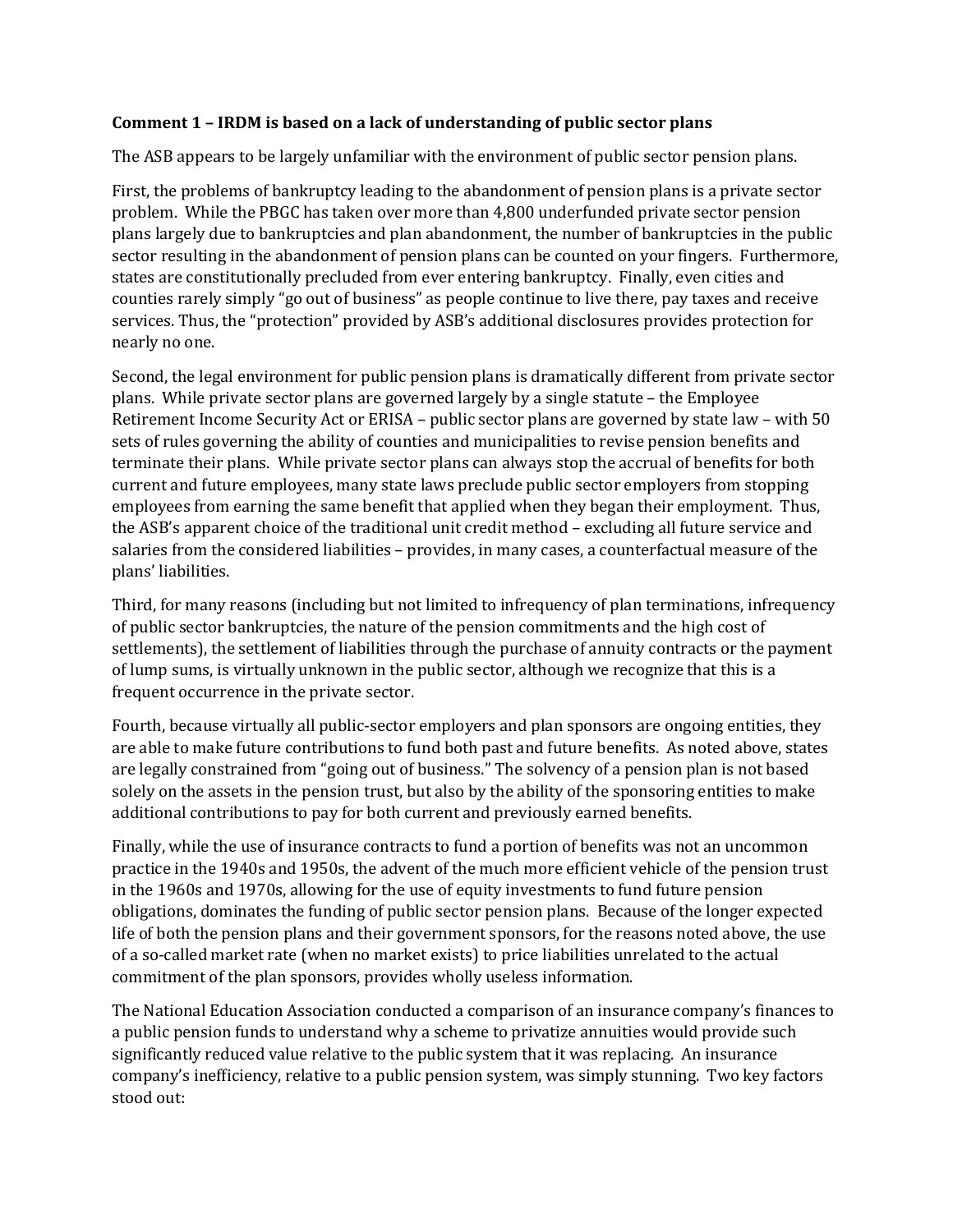### **Comment 1 – IRDM is based on a lack of understanding of public sector plans**

The ASB appears to be largely unfamiliar with the environment of public sector pension plans.

First, the problems of bankruptcy leading to the abandonment of pension plans is a private sector problem. While the PBGC has taken over more than 4,800 underfunded private sector pension plans largely due to bankruptcies and plan abandonment, the number of bankruptcies in the public sector resulting in the abandonment of pension plans can be counted on your fingers. Furthermore, states are constitutionally precluded from ever entering bankruptcy. Finally, even cities and counties rarely simply "go out of business" as people continue to live there, pay taxes and receive services. Thus, the "protection" provided by ASB's additional disclosures provides protection for nearly no one.

Second, the legal environment for public pension plans is dramatically different from private sector plans. While private sector plans are governed largely by a single statute – the Employee Retirement Income Security Act or ERISA – public sector plans are governed by state law – with 50 sets of rules governing the ability of counties and municipalities to revise pension benefits and terminate their plans. While private sector plans can always stop the accrual of benefits for both current and future employees, many state laws preclude public sector employers from stopping employees from earning the same benefit that applied when they began their employment. Thus, the ASB's apparent choice of the traditional unit credit method – excluding all future service and salaries from the considered liabilities – provides, in many cases, a counterfactual measure of the plans' liabilities.

Third, for many reasons (including but not limited to infrequency of plan terminations, infrequency of public sector bankruptcies, the nature of the pension commitments and the high cost of settlements), the settlement of liabilities through the purchase of annuity contracts or the payment of lump sums, is virtually unknown in the public sector, although we recognize that this is a frequent occurrence in the private sector.

Fourth, because virtually all public-sector employers and plan sponsors are ongoing entities, they are able to make future contributions to fund both past and future benefits. As noted above, states are legally constrained from "going out of business." The solvency of a pension plan is not based solely on the assets in the pension trust, but also by the ability of the sponsoring entities to make additional contributions to pay for both current and previously earned benefits.

Finally, while the use of insurance contracts to fund a portion of benefits was not an uncommon practice in the 1940s and 1950s, the advent of the much more efficient vehicle of the pension trust in the 1960s and 1970s, allowing for the use of equity investments to fund future pension obligations, dominates the funding of public sector pension plans. Because of the longer expected life of both the pension plans and their government sponsors, for the reasons noted above, the use of a so-called market rate (when no market exists) to price liabilities unrelated to the actual commitment of the plan sponsors, provides wholly useless information.

The National Education Association conducted a comparison of an insurance company's finances to a public pension funds to understand why a scheme to privatize annuities would provide such significantly reduced value relative to the public system that it was replacing. An insurance company's inefficiency, relative to a public pension system, was simply stunning. Two key factors stood out: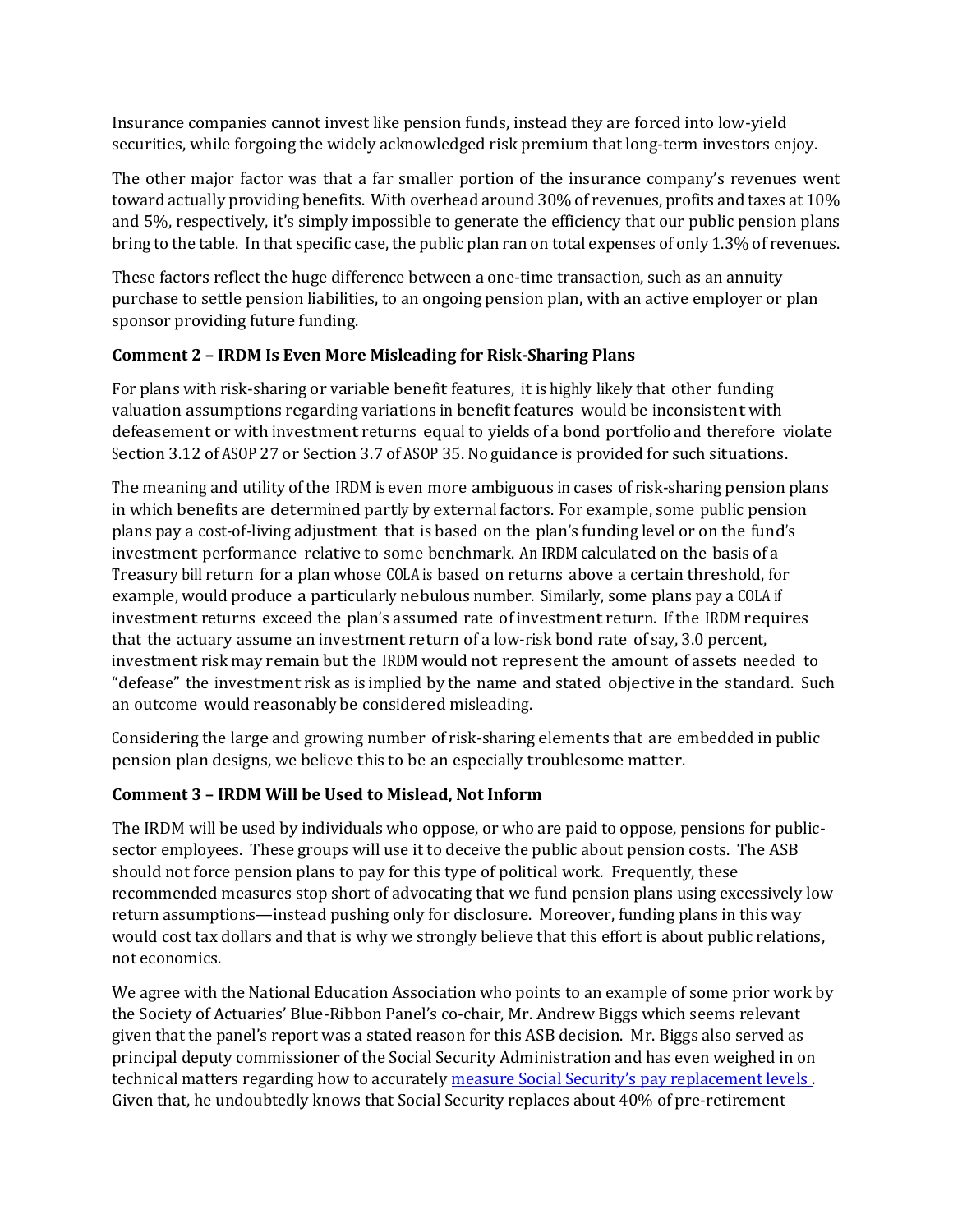Insurance companies cannot invest like pension funds, instead they are forced into low-yield securities, while forgoing the widely acknowledged risk premium that long-term investors enjoy.

The other major factor was that a far smaller portion of the insurance company's revenues went toward actually providing benefits. With overhead around 30% of revenues, profits and taxes at 10% and 5%, respectively, it's simply impossible to generate the efficiency that our public pension plans bring to the table. In that specific case, the public plan ran on total expenses of only 1.3% of revenues.

These factors reflect the huge difference between a one-time transaction, such as an annuity purchase to settle pension liabilities, to an ongoing pension plan, with an active employer or plan sponsor providing future funding.

# **Comment 2 – IRDM Is Even More Misleading for Risk-Sharing Plans**

For plans with risk-sharing or variable benefit features, it is highly likely that other funding valuation assumptions regarding variations in benefit features would be inconsistent with defeasement or with investment returns equal to yields of a bond portfolio and therefore violate Section 3.12 of ASOP 27 or Section 3.7 of ASOP 35. Noguidance is provided for such situations.

The meaning and utility of the IRDM is even more ambiguous in cases of risk-sharing pension plans in which benefits are determined partly by external factors. For example, some public pension plans pay a cost-of-living adjustment that is based on the plan's funding level or on the fund's investment performance relative to some benchmark. An IRDM calculated on the basis of a Treasury bill return for a plan whose COLA is based on returns above a certain threshold, for example, would produce a particularly nebulous number. Similarly, some plans pay a COLA if investment returns exceed the plan's assumed rate of investment return. If the IRDM requires that the actuary assume an investment return of a low-risk bond rate of say, 3.0 percent, investment risk may remain but the IRDM would not represent the amount of assets needed to "defease" the investment risk as is implied by the name and stated objective in the standard. Such an outcome would reasonably be considered misleading.

Considering the large and growing number of risk-sharing elements that are embedded in public pension plan designs, we believe this to be an especially troublesome matter.

# **Comment 3 – IRDM Will be Used to Mislead, Not Inform**

The IRDM will be used by individuals who oppose, or who are paid to oppose, pensions for publicsector employees. These groups will use it to deceive the public about pension costs. The ASB should not force pension plans to pay for this type of political work. Frequently, these recommended measures stop short of advocating that we fund pension plans using excessively low return assumptions—instead pushing only for disclosure. Moreover, funding plans in this way would cost tax dollars and that is why we strongly believe that this effort is about public relations, not economics.

We agree with the National Education Association who points to an example of some prior work by the Society of Actuaries' Blue-Ribbon Panel's co-chair, Mr. Andrew Biggs which seems relevant given that the panel's report was a stated reason for this ASB decision. Mr. Biggs also served as principal deputy commissioner of the Social Security Administration and has even weighed in on technical matters regarding how to accurately [measure Social Security's pay replacement levels .](https://www.ssa.gov/policy/docs/ssb/v68n2/v68n2p1.html) Given that, he undoubtedly knows that Social Security replaces about 40% of pre-retirement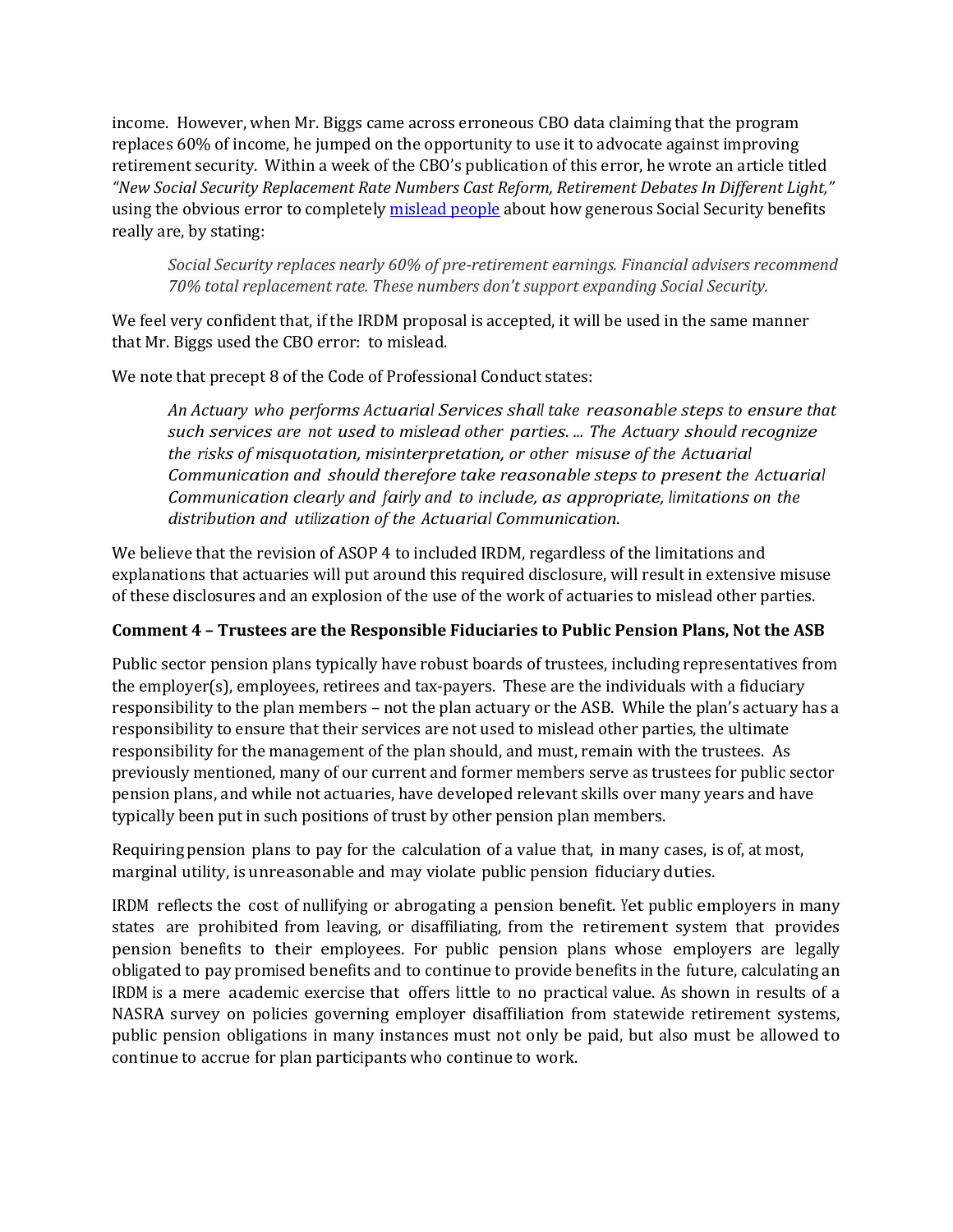income. However, when Mr. Biggs came across erroneous CBO data claiming that the program replaces 60% of income, he jumped on the opportunity to use it to advocate against improving retirement security. Within a week of the CBO's publication of this error, he wrote an article titled *"New Social Security Replacement Rate Numbers Cast Reform, Retirement Debates In Different Light,"* using the obvious error to completel[y mislead people](https://www.forbes.com/sites/andrewbiggs/2015/12/23/new-social-security-replacement-rate-numbers-cast-reform-retirement-debates-in-different-light/#34b85ce26195) about how generous Social Security benefits really are, by stating:

*Social Security replaces nearly 60% of pre-retirement earnings. Financial advisers recommend 70% total replacement rate. These numbers don't support expanding Social Security.* 

We feel very confident that, if the IRDM proposal is accepted, it will be used in the same manner that Mr. Biggs used the CBO error: to mislead.

We note that precept 8 of the Code of Professional Conduct states:

*An Actuary who performs Actuarial Services shall take reasonable steps to ensure that such services are not used to mislead other parties. ... The Actuary should recognize the risks of misquotation, misinterpretation, or other misuse of the Actuarial Communication and should therefore take reasonable steps to present the Actuarial Communication clearly and fairly and to include, as appropriate, limitations on the distribution and utilization of the Actuarial Communication.*

We believe that the revision of ASOP 4 to included IRDM, regardless of the limitations and explanations that actuaries will put around this required disclosure, will result in extensive misuse of these disclosures and an explosion of the use of the work of actuaries to mislead other parties.

# **Comment 4 – Trustees are the Responsible Fiduciaries to Public Pension Plans, Not the ASB**

Public sector pension plans typically have robust boards of trustees, including representatives from the employer(s), employees, retirees and tax-payers. These are the individuals with a fiduciary responsibility to the plan members – not the plan actuary or the ASB. While the plan's actuary has a responsibility to ensure that their services are not used to mislead other parties, the ultimate responsibility for the management of the plan should, and must, remain with the trustees. As previously mentioned, many of our current and former members serve as trustees for public sector pension plans, and while not actuaries, have developed relevant skills over many years and have typically been put in such positions of trust by other pension plan members.

Requiring pension plans to pay for the calculation of a value that, in many cases, is of, at most, marginal utility, is unreasonable and may violate public pension fiduciary duties.

IRDM reflects the cost of nullifying or abrogating a pension benefit. Yet public employers in many states are prohibited from leaving, or disaffiliating, from the retirement system that provides pension benefits to their employees. For public pension plans whose employers are legally obligated to pay promised benefits and to continue to provide benefits in the future, calculating an IRDM is a mere academic exercise that offers little to no practical value. As shown in results of a NASRA survey on policies governing employer disaffiliation from statewide retirement systems, public pension obligations in many instances must not only be paid, but also must be allowed to continue to accrue for plan participants who continue to work.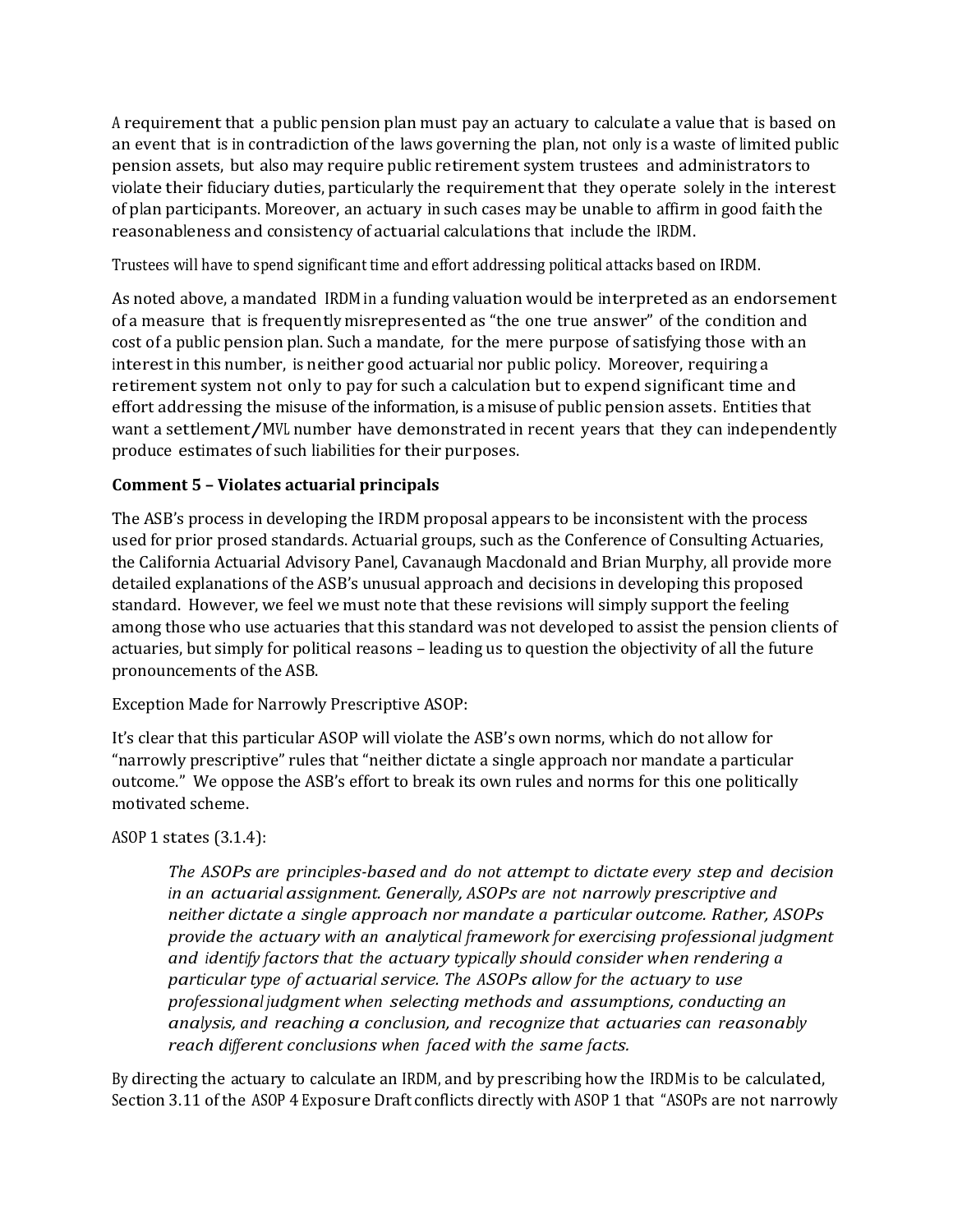<sup>A</sup> requirementthat a public pension plan must pay an actuary to calculate a value that is based on an event that is in contradiction of the laws governing the plan, not only is a waste of limited public pension assets, but also may require public retirement system trustees and administrators to violate their fiduciary duties, particularly the requirementthat they operate solely in the interest of plan participants. Moreover, an actuary in such cases may be unable to affirm in good faith the reasonableness and consistency of actuarial calculations that include the IRDM.

Trustees will have to spend significant time and effort addressing political attacks based on IRDM.

As noted above, a mandated IRDM in a funding valuation would be interpreted as an endorsement of a measure that is frequently misrepresented as "the one true answer" of the condition and cost of a public pension plan. Such a mandate, for the mere purpose of satisfying those with an interestin this number, is neither good actuarial nor public policy. Moreover, requiring a retirement system not only to pay for such a calculation but to expend significant time and effort addressing the misuse of the information, is a misuse of public pension assets. Entities that want a settlement/MVL number have demonstrated in recent years that they can independently produce estimates of such liabilities for their purposes.

# **Comment 5 – Violates actuarial principals**

The ASB's process in developing the IRDM proposal appears to be inconsistent with the process used for prior prosed standards. Actuarial groups, such as the Conference of Consulting Actuaries, the California Actuarial Advisory Panel, Cavanaugh Macdonald and Brian Murphy, all provide more detailed explanations of the ASB's unusual approach and decisions in developing this proposed standard. However, we feel we must note that these revisions will simply support the feeling among those who use actuaries that this standard was not developed to assist the pension clients of actuaries, but simply for political reasons – leading us to question the objectivity of all the future pronouncements of the ASB.

Exception Made for Narrowly Prescriptive ASOP:

It's clear that this particular ASOP will violate the ASB's own norms, which do not allow for "narrowly prescriptive" rules that "neither dictate a single approach nor mandate a particular outcome." We oppose the ASB's effort to break its own rules and norms for this one politically motivated scheme.

# ASOP 1 states (3.1.4):

*The ASOPs are principles-based and do not attempt to dictate every step and decision in an actuarial assignment. Generally, ASOPs are not narrowly prescriptive and neither dictate a single approach nor mandate a particular outcome. Rather, ASOPs provide the actuary with an analytical framework for exercising professional judgment and identify factorsthat the actuary typically should consider when rendering a particular type of actuarial service. The ASOPs allow for the actuary to use professional judgment when selecting methods and assumptions, conducting an analysis, and reaching a conclusion, and recognize that actuaries can reasonably reach different conclusions when faced with the same facts.*

By directing the actuary to calculate an IRDM, and by prescribing how the IRDM is to be calculated, Section 3.11 of the ASOP 4 Exposure Draft conflicts directly with ASOP 1 that "ASOPs are not narrowly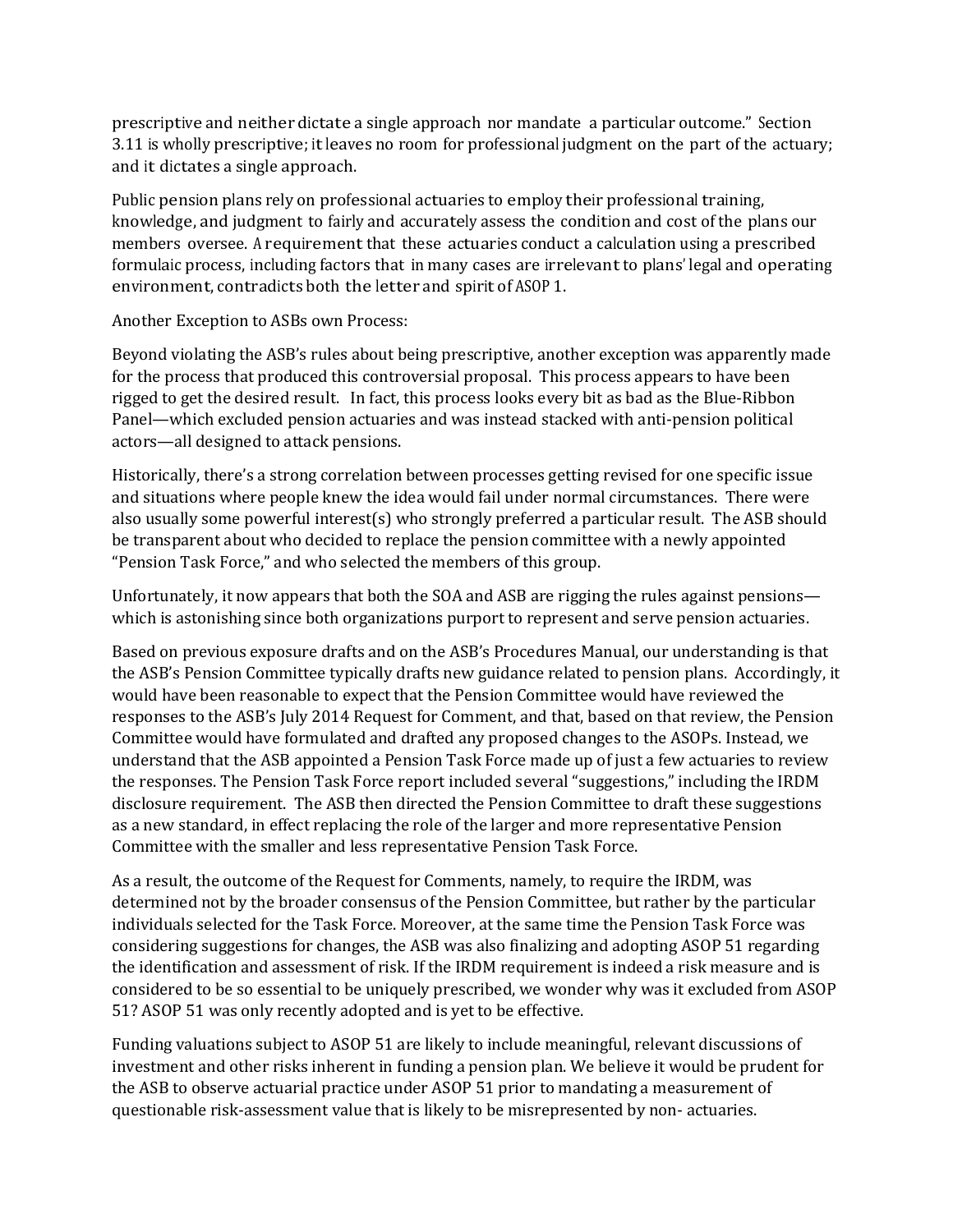prescriptive and neither dictate a single approach nor mandate a particular outcome." Section 3.11 is wholly prescriptive; itleaves no room for professional judgment on the part of the actuary; and it dictates a single approach.

Public pension plans rely on professional actuaries to employ their professional training, knowledge, and judgment to fairly and accurately assess the condition and cost of the plans our members oversee. A requirement that these actuaries conduct a calculation using a prescribed formulaic process, including factors that in many cases are irrelevant to plans' legal and operating environment, contradicts both the letter and spirit of ASOP 1.

Another Exception to ASBs own Process:

Beyond violating the ASB's rules about being prescriptive, another exception was apparently made for the process that produced this controversial proposal. This process appears to have been rigged to get the desired result. In fact, this process looks every bit as bad as the Blue-Ribbon Panel—which excluded pension actuaries and was instead stacked with anti-pension political actors—all designed to attack pensions.

Historically, there's a strong correlation between processes getting revised for one specific issue and situations where people knew the idea would fail under normal circumstances. There were also usually some powerful interest(s) who strongly preferred a particular result. The ASB should be transparent about who decided to replace the pension committee with a newly appointed "Pension Task Force," and who selected the members of this group.

Unfortunately, it now appears that both the SOA and ASB are rigging the rules against pensions which is astonishing since both organizations purport to represent and serve pension actuaries.

Based on previous exposure drafts and on the ASB's Procedures Manual, our understanding is that the ASB's Pension Committee typically drafts new guidance related to pension plans. Accordingly, it would have been reasonable to expect that the Pension Committee would have reviewed the responses to the ASB's July 2014 Request for Comment, and that, based on that review, the Pension Committee would have formulated and drafted any proposed changes to the ASOPs. Instead, we understand that the ASB appointed a Pension Task Force made up of just a few actuaries to review the responses. The Pension Task Force report included several "suggestions," including the IRDM disclosure requirement. The ASB then directed the Pension Committee to draft these suggestions as a new standard, in effect replacing the role of the larger and more representative Pension Committee with the smaller and less representative Pension Task Force.

As a result, the outcome of the Request for Comments, namely, to require the IRDM, was determined not by the broader consensus of the Pension Committee, but rather by the particular individuals selected for the Task Force. Moreover, at the same time the Pension Task Force was considering suggestions for changes, the ASB was also finalizing and adopting ASOP 51 regarding the identification and assessment of risk. If the IRDM requirement is indeed a risk measure and is considered to be so essential to be uniquely prescribed, we wonder why was it excluded from ASOP 51? ASOP 51 was only recently adopted and is yet to be effective.

Funding valuations subject to ASOP 51 are likely to include meaningful, relevant discussions of investment and other risks inherent in funding a pension plan. We believe it would be prudent for the ASB to observe actuarial practice under ASOP 51 prior to mandating a measurement of questionable risk-assessment value that is likely to be misrepresented by non- actuaries.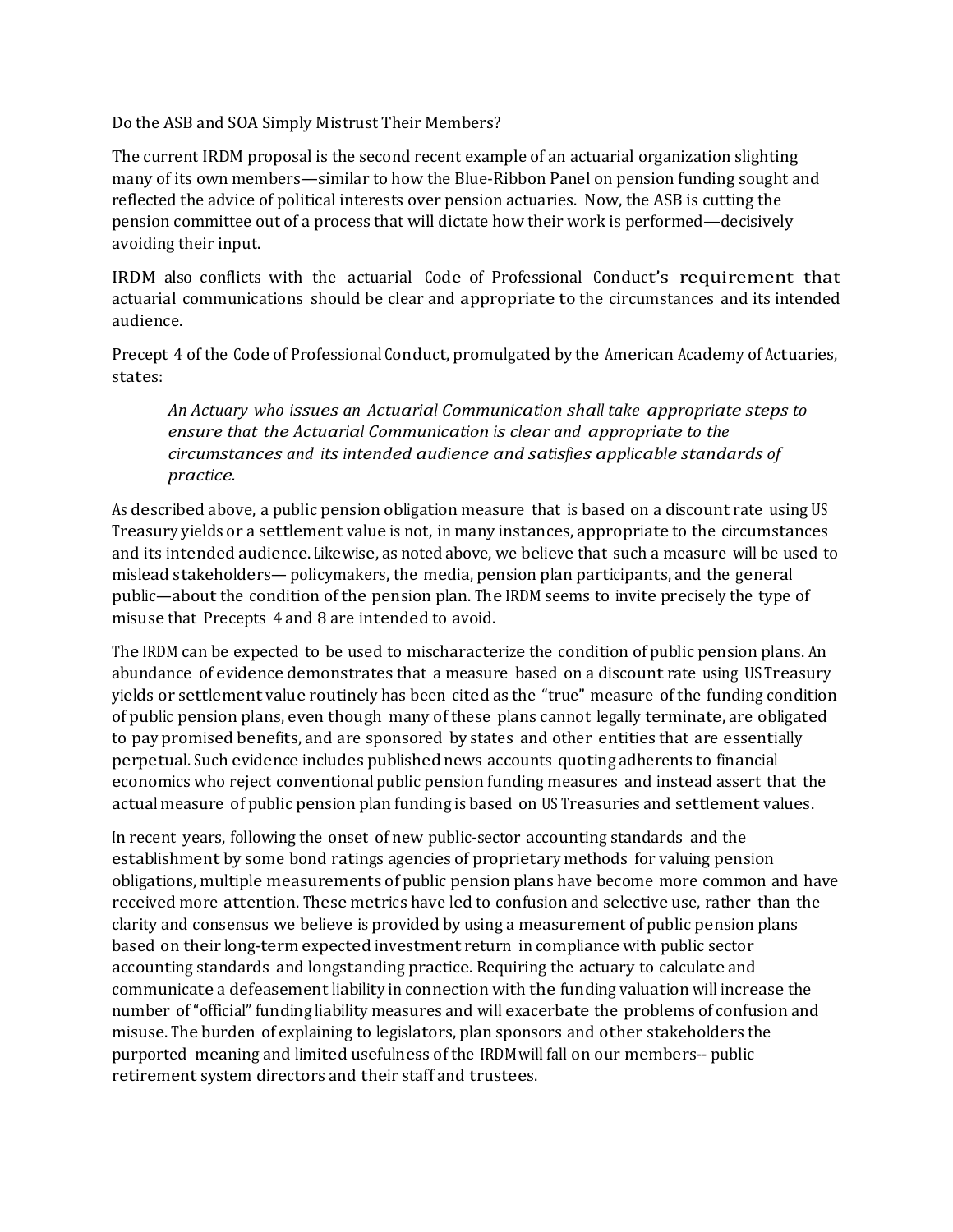Do the ASB and SOA Simply Mistrust Their Members?

The current IRDM proposal is the second recent example of an actuarial organization slighting many of its own members—similar to how the Blue-Ribbon Panel on pension funding sought and reflected the advice of political interests over pension actuaries. Now, the ASB is cutting the pension committee out of a process that will dictate how their work is performed—decisively avoiding their input.

IRDM also conflicts with the actuarial Code of Professional Conduct's requirement that actuarial communications should be clear and appropriate to the circumstances and its intended audience.

Precept 4 of the Code of Professional Conduct, promulgated by the American Academy of Actuaries, states:

*An Actuary who issues an Actuarial Communication shall take appropriate steps to ensure that the Actuarial Communication is clear and appropriate to the circumstances and its intended audience and satisfies applicable standards of practice.*

As described above, a public pension obligation measure that is based on a discount rate using US Treasury yields or a settlement value is not, in many instances, appropriate to the circumstances and its intended audience. Likewise, as noted above, we believe that such a measure will be used to mislead stakeholders— policymakers, the media, pension plan participants, and the general public—about the condition of the pension plan. The IRDM seems to invite precisely the type of misuse that Precepts 4 and 8 are intended to avoid.

The IRDM can be expected to be used to mischaracterize the condition of public pension plans. An abundance of evidence demonstrates that a measure based on a discount rate using US Treasury yields or settlement value routinely has been cited as the "true" measure of the funding condition of public pension plans, even though many of these plans cannot legally terminate, are obligated to pay promised benefits, and are sponsored by states and other entities that are essentially perpetual. Such evidence includes published news accounts quoting adherents to financial economics who reject conventional public pension funding measures and instead assert that the actual measure of public pension plan funding is based on US Treasuries and settlement values.

In recent years, following the onset of new public-sector accounting standards and the establishment by some bond ratings agencies of proprietary methods for valuing pension obligations, multiple measurements of public pension plans have become more common and have received more attention. These metrics have led to confusion and selective use, rather than the clarity and consensus we believe is provided by using a measurement of public pension plans based on their long-term expected investment return in compliance with public sector accounting standards and longstanding practice. Requiring the actuary to calculate and communicate a defeasement liability in connection with the funding valuation will increase the number of "official" funding liability measures and will exacerbate the problems of confusion and misuse. The burden of explaining to legislators, plan sponsors and other stakeholders the purported meaning and limited usefulness of the IRDM will fall on our members-- public retirement system directors and their staff and trustees.